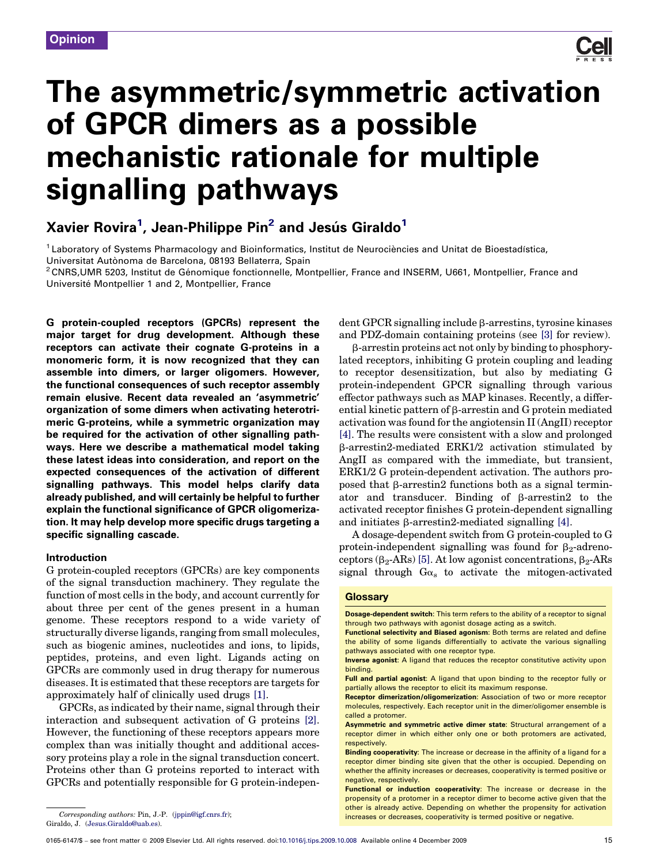

# The asymmetric/symmetric activation of GPCR dimers as a possible mechanistic rationale for multiple signalling pathways

Xavier Rovira<sup>1</sup>, Jean-Philippe Pin<sup>2</sup> and Jesús Giraldo<sup>1</sup>

 $1$  Laboratory of Systems Pharmacology and Bioinformatics, Institut de Neurociències and Unitat de Bioestadística,

Universitat Autònoma de Barcelona, 08193 Bellaterra, Spain<br><sup>2</sup>CNRS,UMR 5203, Institut de Génomique fonctionnelle, Montpellier, France and INSERM, U661, Montpellier, France and Université Montpellier 1 and 2, Montpellier, France

G protein-coupled receptors (GPCRs) represent the major target for drug development. Although these receptors can activate their cognate G-proteins in a monomeric form, it is now recognized that they can assemble into dimers, or larger oligomers. However, the functional consequences of such receptor assembly remain elusive. Recent data revealed an 'asymmetric' organization of some dimers when activating heterotrimeric G-proteins, while a symmetric organization may be required for the activation of other signalling pathways. Here we describe a mathematical model taking these latest ideas into consideration, and report on the expected consequences of the activation of different signalling pathways. This model helps clarify data already published, and will certainly be helpful to further explain the functional significance of GPCR oligomerization. It may help develop more specific drugs targeting a specific signalling cascade.

# Introduction

G protein-coupled receptors (GPCRs) are key components of the signal transduction machinery. They regulate the function of most cells in the body, and account currently for about three per cent of the genes present in a human genome. These receptors respond to a wide variety of structurally diverse ligands, ranging from small molecules, such as biogenic amines, nucleotides and ions, to lipids, peptides, proteins, and even light. Ligands acting on GPCRs are commonly used in drug therapy for numerous diseases. It is estimated that these receptors are targets for approximately half of clinically used drugs [\[1\]](#page-5-0).

GPCRs, as indicated by their name, signal through their interaction and subsequent activation of G proteins [\[2\]](#page-5-0). However, the functioning of these receptors appears more complex than was initially thought and additional accessory proteins play a role in the signal transduction concert. Proteins other than G proteins reported to interact with GPCRs and potentially responsible for G protein-indepen-

Giraldo, J. ([Jesus.Giraldo@uab.es\)](mailto:Jesus.Giraldo@uab.es).

 $\det$  GPCR signalling include  $\beta$ -arrestins, tyrosine kinases and PDZ-domain containing proteins (see [\[3\]](#page-5-0) for review).

b-arrestin proteins act not only by binding to phosphorylated receptors, inhibiting G protein coupling and leading to receptor desensitization, but also by mediating G protein-independent GPCR signalling through various effector pathways such as MAP kinases. Recently, a differential kinetic pattern of  $\beta$ -arrestin and G protein mediated activation was found for the angiotensin II (AngII) receptor [\[4\].](#page-5-0) The results were consistent with a slow and prolonged  $\beta$ -arrestin2-mediated ERK1/2 activation stimulated by AngII as compared with the immediate, but transient, ERK1/2 G protein-dependent activation. The authors proposed that  $\beta$ -arrestin2 functions both as a signal terminator and transducer. Binding of  $\beta$ -arrestin2 to the activated receptor finishes G protein-dependent signalling and initiates  $\beta$ -arrestin2-mediated signalling [\[4\]](#page-5-0).

A dosage-dependent switch from G protein-coupled to G protein-independent signalling was found for  $\beta_2$ -adrenoceptors ( $\beta_2$ -ARs) [\[5\]](#page-5-0). At low agonist concentrations,  $\beta_2$ -ARs signal through  $Ga<sub>s</sub>$  to activate the mitogen-activated

## **Glossary**

Dosage-dependent switch: This term refers to the ability of a receptor to signal through two pathways with agonist dosage acting as a switch.

Functional selectivity and Biased agonism: Both terms are related and define the ability of some ligands differentially to activate the various signalling pathways associated with one receptor type.

Inverse agonist: A ligand that reduces the receptor constitutive activity upon binding.

Full and partial agonist: A ligand that upon binding to the receptor fully or partially allows the receptor to elicit its maximum response.

Receptor dimerization/oligomerization: Association of two or more receptor molecules, respectively. Each receptor unit in the dimer/oligomer ensemble is called a protomer.

Asymmetric and symmetric active dimer state: Structural arrangement of a receptor dimer in which either only one or both protomers are activated, respectively.

Binding cooperativity: The increase or decrease in the affinity of a ligand for a receptor dimer binding site given that the other is occupied. Depending on whether the affinity increases or decreases, cooperativity is termed positive or negative, respectively.

Functional or induction cooperativity: The increase or decrease in the propensity of a protomer in a receptor dimer to become active given that the other is already active. Depending on whether the propensity for activation increases or decreases, cooperativity is termed positive or negative. Corresponding authors: Pin, J.-P. [\(jppin@igf.cnrs.fr\)](mailto:jppin@igf.cnrs.fr);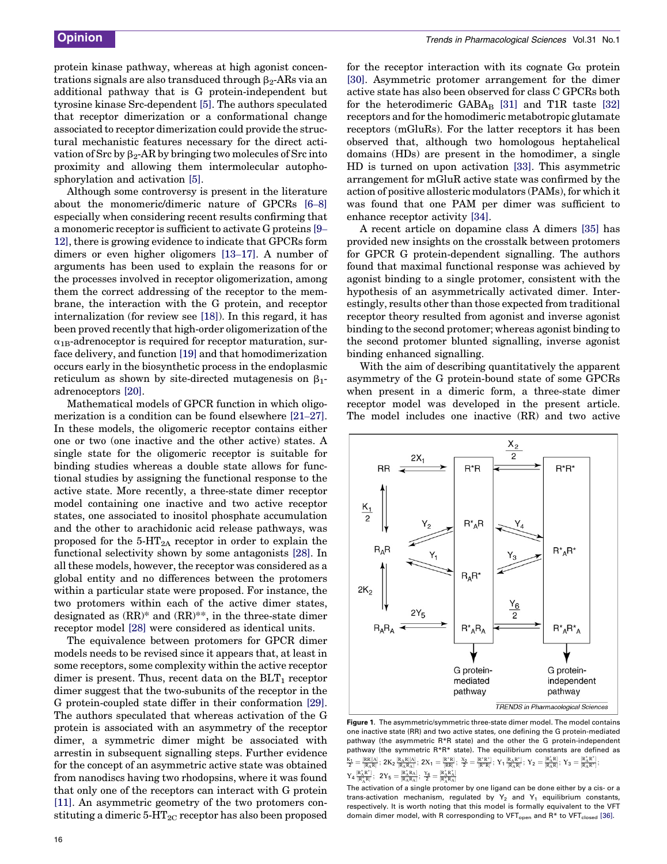<span id="page-1-0"></span>protein kinase pathway, whereas at high agonist concentrations signals are also transduced through  $\beta_2$ -ARs via an additional pathway that is G protein-independent but tyrosine kinase Src-dependent [\[5\].](#page-5-0) The authors speculated that receptor dimerization or a conformational change associated to receptor dimerization could provide the structural mechanistic features necessary for the direct activation of Src by  $\beta_2$ -AR by bringing two molecules of Src into proximity and allowing them intermolecular autophosphorylation and activation [\[5\].](#page-5-0)

Although some controversy is present in the literature about the monomeric/dimeric nature of GPCRs [\[6](#page-5-0)–8] especially when considering recent results confirming that a monomeric receptor is sufficient to activate G proteins [\[9](#page-5-0)– [12\]](#page-5-0), there is growing evidence to indicate that GPCRs form dimers or even higher oligomers [13–[17\].](#page-6-0) A number of arguments has been used to explain the reasons for or the processes involved in receptor oligomerization, among them the correct addressing of the receptor to the membrane, the interaction with the G protein, and receptor internalization (for review see [\[18\]\)](#page-6-0). In this regard, it has been proved recently that high-order oligomerization of the  $\alpha_{1B}$ -adrenoceptor is required for receptor maturation, surface delivery, and function [\[19\]](#page-6-0) and that homodimerization occurs early in the biosynthetic process in the endoplasmic reticulum as shown by site-directed mutagenesis on  $\beta_1$ adrenoceptors [\[20\]](#page-6-0).

Mathematical models of GPCR function in which oligomerization is a condition can be found elsewhere [\[21](#page-6-0)–27]. In these models, the oligomeric receptor contains either one or two (one inactive and the other active) states. A single state for the oligomeric receptor is suitable for binding studies whereas a double state allows for functional studies by assigning the functional response to the active state. More recently, a three-state dimer receptor model containing one inactive and two active receptor states, one associated to inositol phosphate accumulation and the other to arachidonic acid release pathways, was proposed for the  $5-\text{HT}_{2A}$  receptor in order to explain the functional selectivity shown by some antagonists [\[28\]](#page-6-0). In all these models, however, the receptor was considered as a global entity and no differences between the protomers within a particular state were proposed. For instance, the two protomers within each of the active dimer states, designated as (RR)\* and (RR)\*\*, in the three-state dimer receptor model [\[28\]](#page-6-0) were considered as identical units.

The equivalence between protomers for GPCR dimer models needs to be revised since it appears that, at least in some receptors, some complexity within the active receptor dimer is present. Thus, recent data on the  $BLT_1$  receptor dimer suggest that the two-subunits of the receptor in the G protein-coupled state differ in their conformation [\[29\]](#page-6-0). The authors speculated that whereas activation of the G protein is associated with an asymmetry of the receptor dimer, a symmetric dimer might be associated with arrestin in subsequent signalling steps. Further evidence for the concept of an asymmetric active state was obtained from nanodiscs having two rhodopsins, where it was found that only one of the receptors can interact with G protein [\[11\]](#page-5-0). An asymmetric geometry of the two protomers constituting a dimeric  $5-\text{HT}_{2C}$  receptor has also been proposed for the receptor interaction with its cognate  $G_{\alpha}$  protein [\[30\]](#page-6-0). Asymmetric protomer arrangement for the dimer active state has also been observed for class C GPCRs both for the heterodimeric  $GABA_B$  [\[31\]](#page-6-0) and T1R taste [\[32\]](#page-6-0) receptors and for the homodimeric metabotropic glutamate receptors (mGluRs). For the latter receptors it has been observed that, although two homologous heptahelical domains (HDs) are present in the homodimer, a single HD is turned on upon activation [\[33\]](#page-6-0). This asymmetric arrangement for mGluR active state was confirmed by the action of positive allosteric modulators (PAMs), for which it was found that one PAM per dimer was sufficient to enhance receptor activity [\[34\].](#page-6-0)

A recent article on dopamine class A dimers [\[35\]](#page-6-0) has provided new insights on the crosstalk between protomers for GPCR G protein-dependent signalling. The authors found that maximal functional response was achieved by agonist binding to a single protomer, consistent with the hypothesis of an asymmetrically activated dimer. Interestingly, results other than those expected from traditional receptor theory resulted from agonist and inverse agonist binding to the second protomer; whereas agonist binding to the second protomer blunted signalling, inverse agonist binding enhanced signalling.

With the aim of describing quantitatively the apparent asymmetry of the G protein-bound state of some GPCRs when present in a dimeric form, a three-state dimer receptor model was developed in the present article. The model includes one inactive (RR) and two active



Figure 1. The asymmetric/symmetric three-state dimer model. The model contains one inactive state (RR) and two active states, one defining the G protein-mediated pathway (the asymmetric R\*R state) and the other the G protein-independent pathway (the symmetric R\*R\* state). The equilibrium constants are defined as  $\textstyle \frac{K_1}{2} = \frac{[RR][A]}{[R_A R]} \, ; \, 2K_2 \, \frac{[R_AR][A]}{[R_A R_A]} \, ; \, 2X_1 = \frac{[R^*R]}{[RR]} \, ; \, \frac{X_2}{2} = \frac{[R^*R^*]}{[R^*R]} \, ; \, Y_1 \, \frac{[R_A R^*]}{[R_A R]} \, ; \, Y_2 = \frac{[R^*]}{[R]}$  $\frac{[R^*_AR]}{[R_AR]};\;Y_3=\frac{[R^*_AR^*]}{[R_AR^*]};$  $Y_4\frac{[\textbf{R}_{\text{A}}^*\textbf{R}^*]}{[\textbf{R}_{\text{A}}^*\textbf{R}]};\ \, 2Y_5=\frac{[\textbf{R}_{\text{A}}^*\textbf{R}_{\text{A}}]}{[\textbf{R}_{\text{A}}\textbf{R}_{\text{A}}]};\,\frac{Y_6}{2}=\frac{[\textbf{R}_{\text{A}}^*\textbf{R}_{\text{A}}^*]}{[\textbf{R}_{\text{A}}^*\textbf{R}_{\text{A}}]}$ 

The activation of a single protomer by one ligand can be done either by a cis- or a trans-activation mechanism, regulated by  $Y_2$  and  $Y_1$  equilibrium constants, respectively. It is worth noting that this model is formally equivalent to the VFT domain dimer model, with R corresponding to VFT<sub>open</sub> and  $R^*$  to VFT<sub>closed</sub> [\[36\].](#page-6-0)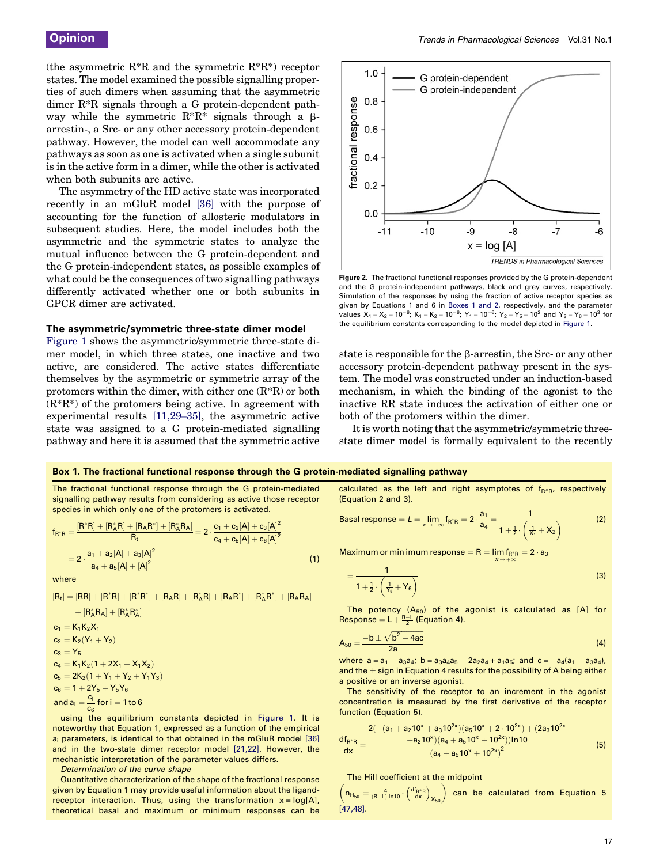<span id="page-2-0"></span>(the asymmetric  $R^*R$  and the symmetric  $R^*R^*$ ) receptor states. The model examined the possible signalling properties of such dimers when assuming that the asymmetric dimer R\*R signals through a G protein-dependent pathway while the symmetric  $R^*R^*$  signals through a  $\beta$ arrestin-, a Src- or any other accessory protein-dependent pathway. However, the model can well accommodate any pathways as soon as one is activated when a single subunit is in the active form in a dimer, while the other is activated when both subunits are active.

The asymmetry of the HD active state was incorporated recently in an mGluR model [\[36\]](#page-6-0) with the purpose of accounting for the function of allosteric modulators in subsequent studies. Here, the model includes both the asymmetric and the symmetric states to analyze the mutual influence between the G protein-dependent and the G protein-independent states, as possible examples of what could be the consequences of two signalling pathways differently activated whether one or both subunits in GPCR dimer are activated.

## The asymmetric/symmetric three-state dimer model

[Figure 1](#page-1-0) shows the asymmetric/symmetric three-state dimer model, in which three states, one inactive and two active, are considered. The active states differentiate themselves by the asymmetric or symmetric array of the protomers within the dimer, with either one  $(R^*R)$  or both  $(R^*R^*)$  of the protomers being active. In agreement with experimental results [\[11,29](#page-5-0)–35], the asymmetric active state was assigned to a G protein-mediated signalling pathway and here it is assumed that the symmetric active



Figure 2. The fractional functional responses provided by the G protein-dependent and the G protein-independent pathways, black and grey curves, respectively. Simulation of the responses by using the fraction of active receptor species as given by Equations 1 and 6 in Boxes 1 and 2, respectively, and the parameter values  $X_1 = X_2 = 10^{-6}$ ;  $K_1 = K_2 = 10^{-6}$ ;  $Y_1 = 10^{-6}$ ;  $Y_2 = Y_5 = 10^2$  and  $Y_3 = Y_6 = 10^3$  for the equilibrium constants corresponding to the model depicted in [Figure 1](#page-1-0).

state is responsible for the  $\beta$ -arrestin, the Src- or any other accessory protein-dependent pathway present in the system. The model was constructed under an induction-based mechanism, in which the binding of the agonist to the inactive RR state induces the activation of either one or both of the protomers within the dimer.

It is worth noting that the asymmetric/symmetric threestate dimer model is formally equivalent to the recently

#### Box 1. The fractional functional response through the G protein-mediated signalling pathway

The fractional functional response through the G protein-mediated signalling pathway results from considering as active those receptor species in which only one of the protomers is activated.

$$
f_{R^*R} = \frac{[R^*R] + [R^*_AR] + [R_AR^*] + [R^*_AR_A]}{R_t} = 2 \cdot \frac{c_1 + c_2[A] + c_3[A]^2}{c_4 + c_5[A] + c_6[A]^2}
$$

$$
= 2 \cdot \frac{a_1 + a_2[A] + a_3[A]^2}{a_4 + a_5[A] + [A]^2}
$$
(1)

where

$$
\begin{aligned}[R_t] &= [\text{RR}] + [\text{R}^* \text{R}] + [\text{R}^* \text{R}^*] + [\text{R}_{\text{A}} \text{R}] + [\text{R}_{\text{A}}^* \text{R}] + [\text{R}_{\text{A}} \text{R}^*] + [\text{R}_{\text{A}} \text{R}^*] + [\text{R}_{\text{A}} \text{R}_{\text{A}}] \\ &+ [\text{R}_{\text{A}}^* \text{R}_{\text{A}}] + [\text{R}_{\text{A}}^* \text{R}_{\text{A}}^*] \\ c_1 &= \text{K}_1 \text{K}_2 \text{X}_1 \\ c_2 &= \text{K}_2 (\text{Y}_1 + \text{Y}_2) \\ c_3 &= \text{Y}_5 \\ c_4 &= \text{K}_1 \text{K}_2 (1 + 2 \text{X}_1 + \text{X}_1 \text{X}_2) \\ c_5 &= 2 \text{K}_2 (1 + \text{Y}_1 + \text{Y}_2 + \text{Y}_1 \text{Y}_3) \\ c_6 &= 1 + 2 \text{Y}_5 + \text{Y}_5 \text{Y}_6 \\ \text{and } a_i &= \frac{c_i}{c_6} \text{ for } i = 1 \text{ to } 6 \end{aligned}
$$

using the equilibrium constants depicted in [Figure 1.](#page-1-0) It is noteworthy that Equation 1, expressed as a function of the empirical ai parameters, is identical to that obtained in the mGluR model [\[36\]](#page-6-0) and in the two-state dimer receptor model [\[21,22\]](#page-6-0). However, the mechanistic interpretation of the parameter values differs.

Determination of the curve shape

Quantitative characterization of the shape of the fractional response given by Equation 1 may provide useful information about the ligandreceptor interaction. Thus, using the transformation  $x = log[A]$ , theoretical basal and maximum or minimum responses can be calculated as the left and right asymptotes of  $f_{R*R}$ , respectively (Equation 2 and 3).

\n
$$
\text{Basal response} = L = \lim_{x \to -\infty} f_{R^*R} = 2 \cdot \frac{a_1}{a_4} = \frac{1}{1 + \frac{1}{2} \cdot \left( \frac{1}{X_1} + X_2 \right)}
$$
\n

Maximum or min imum response  $=R=\lim_{x\to+\infty} f_{R^*R}=2\cdot a_3$ 

$$
=\frac{1}{1+\frac{1}{2}\cdot\left(\frac{1}{Y_5}+Y_6\right)}
$$
(3)

The potency  $(A_{50})$  of the agonist is calculated as [A] for Response =  $L + \frac{R-L}{2}$  (Equation 4).

$$
A_{50} = \frac{-b \pm \sqrt{b^2 - 4ac}}{2a}
$$
 (4)

where  $a = a_1 - a_3 a_4$ ;  $b = a_3 a_4 a_5 - 2a_2 a_4 + a_1 a_5$ ; and  $c = -a_4(a_1 - a_3 a_4)$ , and the  $\pm$  sign in Equation 4 results for the possibility of A being either a positive or an inverse agonist.

The sensitivity of the receptor to an increment in the agonist concentration is measured by the first derivative of the receptor function (Equation 5).

$$
\frac{df_{R'R}}{dx} = \frac{2(-(a_1 + a_210^x + a_310^{2x})(a_510^x + 2 \cdot 10^{2x}) + (2a_310^{2x})}{(a_4 + a_510^x + 10^{2x})\ln 10}
$$
(5)

#### The Hill coefficient at the midpoint

 $\left(n_{H_{50}}=\tfrac{4}{\left(R-L\right) \cdot ln10} \cdot \left(\tfrac{df_{R^*R}}{dx}\right)_{X_{50}}\right)$ can be calculated from Equation 5 [\[47,48\]](#page-6-0).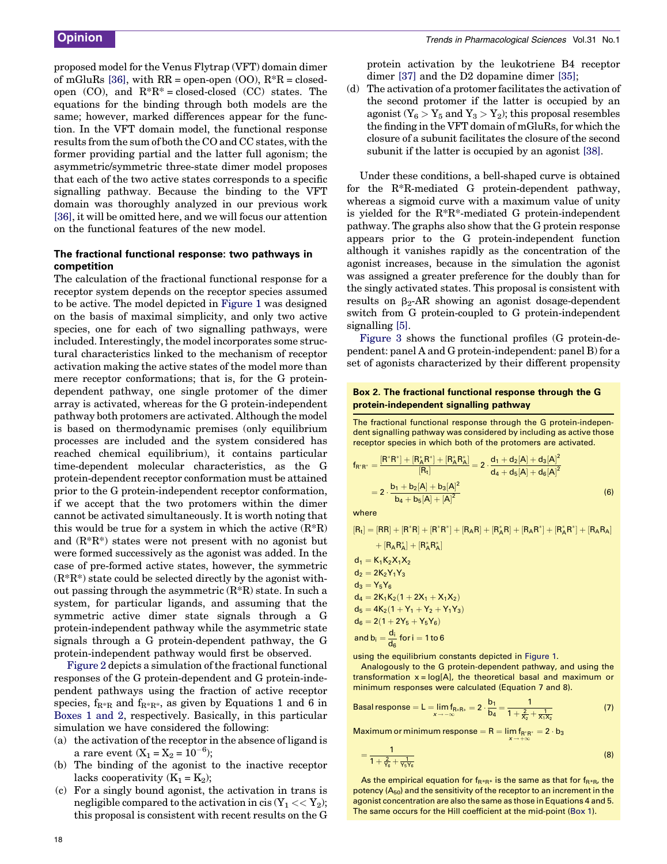proposed model for the Venus Flytrap (VFT) domain dimer of mGluRs [\[36\],](#page-6-0) with  $RR = open-open (OO), R^*R = closed$ open  $(CO)$ , and  $R^*R^*$  = closed-closed  $(CC)$  states. The equations for the binding through both models are the same; however, marked differences appear for the function. In the VFT domain model, the functional response results from the sum of both the CO and CC states, with the former providing partial and the latter full agonism; the asymmetric/symmetric three-state dimer model proposes that each of the two active states corresponds to a specific signalling pathway. Because the binding to the VFT domain was thoroughly analyzed in our previous work [\[36\]](#page-6-0), it will be omitted here, and we will focus our attention on the functional features of the new model.

# The fractional functional response: two pathways in competition

The calculation of the fractional functional response for a receptor system depends on the receptor species assumed to be active. The model depicted in [Figure 1](#page-1-0) was designed on the basis of maximal simplicity, and only two active species, one for each of two signalling pathways, were included. Interestingly, the model incorporates some structural characteristics linked to the mechanism of receptor activation making the active states of the model more than mere receptor conformations; that is, for the G proteindependent pathway, one single protomer of the dimer array is activated, whereas for the G protein-independent pathway both protomers are activated. Although the model is based on thermodynamic premises (only equilibrium processes are included and the system considered has reached chemical equilibrium), it contains particular time-dependent molecular characteristics, as the G protein-dependent receptor conformation must be attained prior to the G protein-independent receptor conformation, if we accept that the two protomers within the dimer cannot be activated simultaneously. It is worth noting that this would be true for a system in which the active  $(R^*R)$ and  $(R^*R^*)$  states were not present with no agonist but were formed successively as the agonist was added. In the case of pre-formed active states, however, the symmetric  $(R^*R^*)$  state could be selected directly by the agonist without passing through the asymmetric  $(R^*R)$  state. In such a system, for particular ligands, and assuming that the symmetric active dimer state signals through a G protein-independent pathway while the asymmetric state signals through a G protein-dependent pathway, the G protein-independent pathway would first be observed.

[Figure 2](#page-2-0) depicts a simulation of the fractional functional responses of the G protein-dependent and G protein-independent pathways using the fraction of active receptor species,  $f_{R^*R}$  and  $f_{R^*R^*}$ , as given by Equations 1 and 6 in [Boxes 1 and 2](#page-2-0), respectively. Basically, in this particular simulation we have considered the following:

- (a) the activation of the receptor in the absence of ligand is a rare event  $(X_1 = X_2 = 10^{-6});$
- (b) The binding of the agonist to the inactive receptor lacks cooperativity  $(K_1 = K_2);$
- (c) For a singly bound agonist, the activation in trans is negligible compared to the activation in cis  $(Y_1 \ll Y_2);$ this proposal is consistent with recent results on the G

protein activation by the leukotriene B4 receptor dimer [\[37\]](#page-6-0) and the D2 dopamine dimer [\[35\]](#page-6-0);

(d) The activation of a protomer facilitates the activation of the second protomer if the latter is occupied by an agonist  $(Y_6 > Y_5$  and  $Y_3 > Y_2)$ ; this proposal resembles the finding in the VFT domain of mGluRs, for which the closure of a subunit facilitates the closure of the second subunit if the latter is occupied by an agonist [\[38\].](#page-6-0)

Under these conditions, a bell-shaped curve is obtained for the R\*R-mediated G protein-dependent pathway, whereas a sigmoid curve with a maximum value of unity is yielded for the R\*R\*-mediated G protein-independent pathway. The graphs also show that the G protein response appears prior to the G protein-independent function although it vanishes rapidly as the concentration of the agonist increases, because in the simulation the agonist was assigned a greater preference for the doubly than for the singly activated states. This proposal is consistent with results on  $\beta_2$ -AR showing an agonist dosage-dependent switch from G protein-coupled to G protein-independent signalling [\[5\].](#page-5-0)

[Figure 3](#page-4-0) shows the functional profiles (G protein-dependent: panel A and G protein-independent: panel B) for a set of agonists characterized by their different propensity

# Box 2. The fractional functional response through the G protein-independent signalling pathway

The fractional functional response through the G protein-independent signalling pathway was considered by including as active those receptor species in which both of the protomers are activated.

$$
f_{R^*R^*} = \frac{[R^*R^*] + [R_A^*R^*] + [R_A^*R_A^*]}{[R_t]} = 2 \cdot \frac{d_1 + d_2[A] + d_3[A]^2}{d_4 + d_5[A] + d_6[A]^2}
$$
  
= 
$$
2 \cdot \frac{b_1 + b_2[A] + b_3[A]^2}{b_4 + b_5[A] + [A]^2}
$$
 (6)

where

$$
[R_t]=[RR]+[R^*R]+[R^*R^*]+[R_AR]+[R_A^*R]+[R_AR^*]+[R_A^*R^*]+[R_AR_A]\\
$$

+ 
$$
[R_A R_A^*] + [R_A^* R_A^*]
$$
  
\nd<sub>1</sub> =  $K_1 K_2 X_1 X_2$   
\nd<sub>2</sub> =  $2K_2 Y_1 Y_3$   
\nd<sub>3</sub> =  $Y_5 Y_6$   
\nd<sub>4</sub> =  $2K_1 K_2 (1 + 2X_1 + X_1 X_2)$   
\nd<sub>5</sub> =  $4K_2 (1 + Y_1 + Y_2 + Y_1 Y_3)$   
\nd<sub>6</sub> =  $2(1 + 2Y_5 + Y_5 Y_6)$   
\nand  $b_i = \frac{d_i}{d_6}$  for  $i = 1$  to 6

using the equilibrium constants depicted in [Figure 1](#page-1-0).

Analogously to the G protein-dependent pathway, and using the transformation  $x = log[A]$ , the theoretical basal and maximum or minimum responses were calculated (Equation 7 and 8).

\n
$$
\text{Basal response} = L = \lim_{x \to -\infty} f_{\text{R} * \text{R} *} = 2 \cdot \frac{b_1}{b_4} = \frac{1}{1 + \frac{2}{x_2} + \frac{1}{x_1 x_2}}\n \tag{7}
$$
\n

Maximum or minimum response =  $R = lim f_{R^*R^*} = 2 \cdot b_3$  $x \rightarrow +\infty$ 

$$
=\frac{1}{1+\frac{2}{\gamma_6}+\frac{1}{\gamma_5\gamma_6}}
$$
(8)

As the empirical equation for  $f_{R^*R^*}$  is the same as that for  $f_{R^*R}$ , the potency  $(A_{50})$  and the sensitivity of the receptor to an increment in the agonist concentration are also the same as those in Equations 4 and 5. The same occurs for the Hill coefficient at the mid-point [\(Box 1\)](#page-2-0).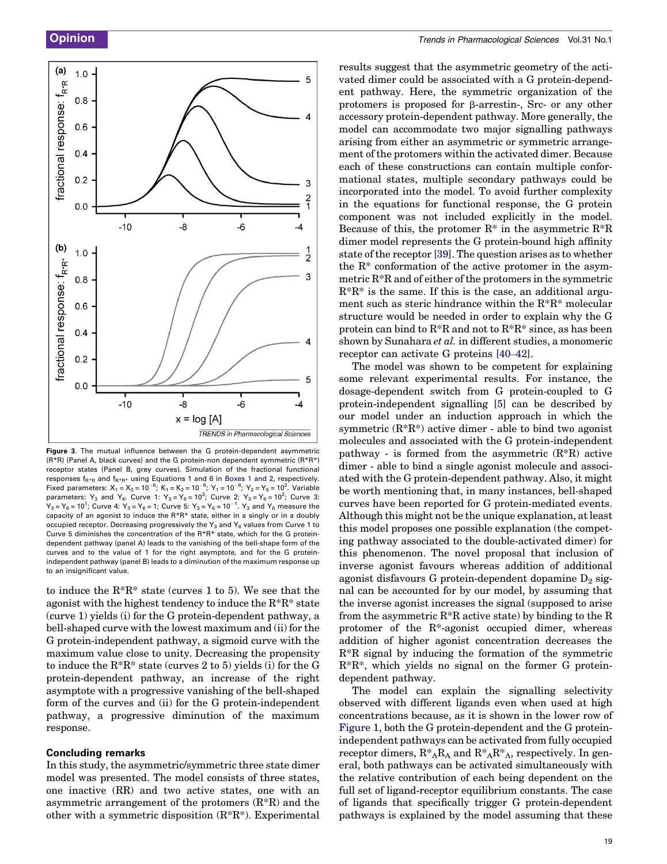<span id="page-4-0"></span>

Figure 3. The mutual influence between the G protein-dependent asymmetric (R\*R) (Panel A, black curves) and the G protein-non dependent symmetric (R\*R\*) receptor states (Panel B, grey curves). Simulation of the fractional functional responses  $f_{R^*R}$  and  $f_{R^*R^*}$  using Equations 1 and 6 in [Boxes 1 and 2,](#page-2-0) respectively. Fixed parameters:  $X_1 = X_2 = 10^{-6}$ ;  $K_1 = K_2 = 10^{-6}$ ;  $Y_1 = 10^{-6}$ ;  $Y_2 = Y_5 = 10^2$ . Variable parameters: Y<sub>3</sub> and Y<sub>6</sub>. Curve 1: Y<sub>3</sub> = Y<sub>6</sub> = 10<sup>3</sup>; Curve 2: Y<sub>3</sub> = Y<sub>6</sub> = 10<sup>2</sup>; Curve 3:  $Y_3 = Y_6 = 10^1$ ; Curve 4:  $Y_3 = Y_6 = 1$ ; Curve 5:  $Y_3 = Y_6 = 10^{-1}$ .  $Y_3$  and  $Y_6$  measure the capacity of an agonist to induce the R\*R\* state, either in a singly or in a doubly occupied receptor. Decreasing progressively the  $Y_3$  and  $Y_6$  values from Curve 1 to Curve 5 diminishes the concentration of the R\*R\* state, which for the G proteindependent pathway (panel A) leads to the vanishing of the bell-shape form of the curves and to the value of 1 for the right asymptote, and for the G proteinindependent pathway (panel B) leads to a diminution of the maximum response up to an insignificant value.

to induce the R\*R\* state (curves 1 to 5). We see that the agonist with the highest tendency to induce the R\*R\* state (curve 1) yields (i) for the G protein-dependent pathway, a bell-shaped curve with the lowest maximum and (ii) for the G protein-independent pathway, a sigmoid curve with the maximum value close to unity. Decreasing the propensity to induce the  $R^*R^*$  state (curves 2 to 5) yields (i) for the G protein-dependent pathway, an increase of the right asymptote with a progressive vanishing of the bell-shaped form of the curves and (ii) for the G protein-independent pathway, a progressive diminution of the maximum response.

# Concluding remarks

In this study, the asymmetric/symmetric three state dimer model was presented. The model consists of three states, one inactive (RR) and two active states, one with an asymmetric arrangement of the protomers  $(R^*R)$  and the other with a symmetric disposition (R\*R\*). Experimental results suggest that the asymmetric geometry of the activated dimer could be associated with a G protein-dependent pathway. Here, the symmetric organization of the protomers is proposed for  $\beta$ -arrestin-, Src- or any other accessory protein-dependent pathway. More generally, the model can accommodate two major signalling pathways arising from either an asymmetric or symmetric arrangement of the protomers within the activated dimer. Because each of these constructions can contain multiple conformational states, multiple secondary pathways could be incorporated into the model. To avoid further complexity in the equations for functional response, the G protein component was not included explicitly in the model. Because of this, the protomer  $R^*$  in the asymmetric  $R^*R$ dimer model represents the G protein-bound high affinity state of the receptor [\[39\].](#page-6-0) The question arises as to whether the R\* conformation of the active protomer in the asymmetric R\*R and of either of the protomers in the symmetric  $R^*R^*$  is the same. If this is the case, an additional argument such as steric hindrance within the R\*R\* molecular structure would be needed in order to explain why the G protein can bind to  $R^*R$  and not to  $R^*R^*$  since, as has been shown by Sunahara et al. in different studies, a monomeric receptor can activate G proteins [40–[42\]](#page-6-0).

The model was shown to be competent for explaining some relevant experimental results. For instance, the dosage-dependent switch from G protein-coupled to G protein-independent signalling [\[5\]](#page-5-0) can be described by our model under an induction approach in which the symmetric  $(R^*R^*)$  active dimer - able to bind two agonist molecules and associated with the G protein-independent pathway - is formed from the asymmetric  $(R^*R)$  active dimer - able to bind a single agonist molecule and associated with the G protein-dependent pathway. Also, it might be worth mentioning that, in many instances, bell-shaped curves have been reported for G protein-mediated events. Although this might not be the unique explanation, at least this model proposes one possible explanation (the competing pathway associated to the double-activated dimer) for this phenomenon. The novel proposal that inclusion of inverse agonist favours whereas addition of additional agonist disfavours G protein-dependent dopamine  $D_2$  signal can be accounted for by our model, by assuming that the inverse agonist increases the signal (supposed to arise from the asymmetric  $R^*R$  active state) by binding to the R protomer of the R\*-agonist occupied dimer, whereas addition of higher agonist concentration decreases the R\*R signal by inducing the formation of the symmetric R\*R\*, which yields no signal on the former G proteindependent pathway.

The model can explain the signalling selectivity observed with different ligands even when used at high concentrations because, as it is shown in the lower row of [Figure 1](#page-1-0), both the G protein-dependent and the G proteinindependent pathways can be activated from fully occupied receptor dimers,  $R^*_{A}R_{A}$  and  $R^*_{A}R^*_{A}$ , respectively. In general, both pathways can be activated simultaneously with the relative contribution of each being dependent on the full set of ligand-receptor equilibrium constants. The case of ligands that specifically trigger G protein-dependent pathways is explained by the model assuming that these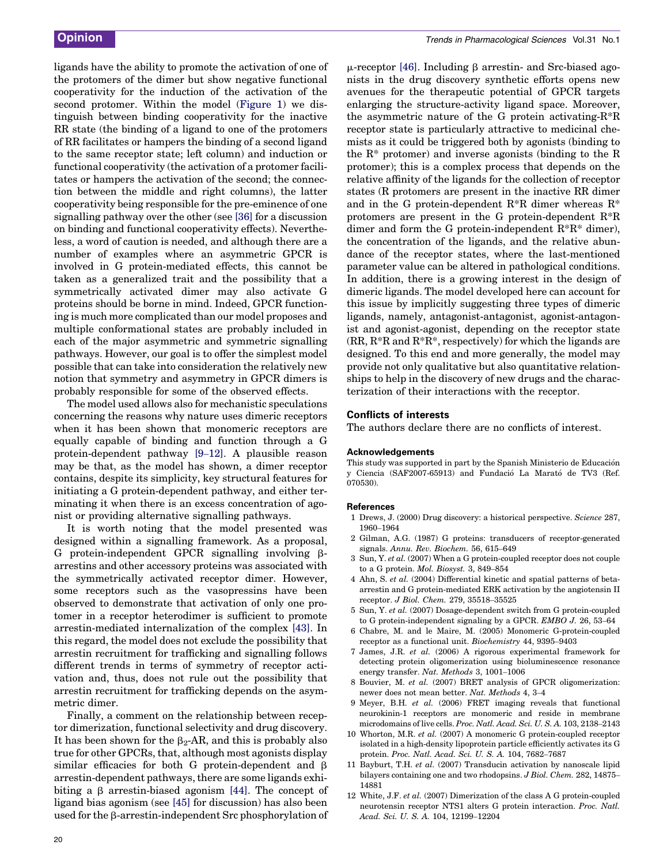<span id="page-5-0"></span>ligands have the ability to promote the activation of one of the protomers of the dimer but show negative functional cooperativity for the induction of the activation of the second protomer. Within the model [\(Figure 1\)](#page-1-0) we distinguish between binding cooperativity for the inactive RR state (the binding of a ligand to one of the protomers of RR facilitates or hampers the binding of a second ligand to the same receptor state; left column) and induction or functional cooperativity (the activation of a protomer facilitates or hampers the activation of the second; the connection between the middle and right columns), the latter cooperativity being responsible for the pre-eminence of one signalling pathway over the other (see [\[36\]](#page-6-0) for a discussion on binding and functional cooperativity effects). Nevertheless, a word of caution is needed, and although there are a number of examples where an asymmetric GPCR is involved in G protein-mediated effects, this cannot be taken as a generalized trait and the possibility that a symmetrically activated dimer may also activate G proteins should be borne in mind. Indeed, GPCR functioning is much more complicated than our model proposes and multiple conformational states are probably included in each of the major asymmetric and symmetric signalling pathways. However, our goal is to offer the simplest model possible that can take into consideration the relatively new notion that symmetry and asymmetry in GPCR dimers is probably responsible for some of the observed effects.

The model used allows also for mechanistic speculations concerning the reasons why nature uses dimeric receptors when it has been shown that monomeric receptors are equally capable of binding and function through a G protein-dependent pathway [9–12]. A plausible reason may be that, as the model has shown, a dimer receptor contains, despite its simplicity, key structural features for initiating a G protein-dependent pathway, and either terminating it when there is an excess concentration of agonist or providing alternative signalling pathways.

It is worth noting that the model presented was designed within a signalling framework. As a proposal, G protein-independent GPCR signalling involving  $\beta$ arrestins and other accessory proteins was associated with the symmetrically activated receptor dimer. However, some receptors such as the vasopressins have been observed to demonstrate that activation of only one protomer in a receptor heterodimer is sufficient to promote arrestin-mediated internalization of the complex [\[43\].](#page-6-0) In this regard, the model does not exclude the possibility that arrestin recruitment for trafficking and signalling follows different trends in terms of symmetry of receptor activation and, thus, does not rule out the possibility that arrestin recruitment for trafficking depends on the asymmetric dimer.

Finally, a comment on the relationship between receptor dimerization, functional selectivity and drug discovery. It has been shown for the  $\beta_2$ -AR, and this is probably also true for other GPCRs, that, although most agonists display similar efficacies for both G protein-dependent and  $\beta$ arrestin-dependent pathways, there are some ligands exhibiting a  $\beta$  arrestin-biased agonism [\[44\].](#page-6-0) The concept of ligand bias agonism (see [\[45\]](#page-6-0) for discussion) has also been used for the  $\beta$ -arrestin-independent Src phosphorylation of  $\mu$ -receptor [\[46\]](#page-6-0). Including  $\beta$  arrestin- and Src-biased agonists in the drug discovery synthetic efforts opens new avenues for the therapeutic potential of GPCR targets enlarging the structure-activity ligand space. Moreover, the asymmetric nature of the G protein activating- $R^*R$ receptor state is particularly attractive to medicinal chemists as it could be triggered both by agonists (binding to the  $R^*$  protomer) and inverse agonists (binding to the R protomer); this is a complex process that depends on the relative affinity of the ligands for the collection of receptor states (R protomers are present in the inactive RR dimer and in the G protein-dependent  $R^*R$  dimer whereas  $R^*$ protomers are present in the G protein-dependent R\*R dimer and form the G protein-independent  $R^*R^*$  dimer), the concentration of the ligands, and the relative abundance of the receptor states, where the last-mentioned parameter value can be altered in pathological conditions. In addition, there is a growing interest in the design of dimeric ligands. The model developed here can account for this issue by implicitly suggesting three types of dimeric ligands, namely, antagonist-antagonist, agonist-antagonist and agonist-agonist, depending on the receptor state  $(RR, R^*R \text{ and } R^*R^*$ , respectively) for which the ligands are designed. To this end and more generally, the model may provide not only qualitative but also quantitative relationships to help in the discovery of new drugs and the characterization of their interactions with the receptor.

# Conflicts of interests

The authors declare there are no conflicts of interest.

## Acknowledgements

This study was supported in part by the Spanish Ministerio de Educación y Ciencia (SAF2007-65913) and Fundacio´ La Marato´ de TV3 (Ref. 070530).

## **References**

- 1 Drews, J. (2000) Drug discovery: a historical perspective. Science 287, 1960–1964
- 2 Gilman, A.G. (1987) G proteins: transducers of receptor-generated signals. Annu. Rev. Biochem. 56, 615–649
- 3 Sun, Y. et al. (2007) When a G protein-coupled receptor does not couple to a G protein. Mol. Biosyst. 3, 849–854
- 4 Ahn, S. et al. (2004) Differential kinetic and spatial patterns of betaarrestin and G protein-mediated ERK activation by the angiotensin II receptor. J Biol. Chem. 279, 35518–35525
- 5 Sun, Y. et al. (2007) Dosage-dependent switch from G protein-coupled to G protein-independent signaling by a GPCR. EMBO J. 26, 53–64
- 6 Chabre, M. and le Maire, M. (2005) Monomeric G-protein-coupled receptor as a functional unit. Biochemistry 44, 9395–9403
- 7 James, J.R. et al. (2006) A rigorous experimental framework for detecting protein oligomerization using bioluminescence resonance energy transfer. Nat. Methods 3, 1001–1006
- 8 Bouvier, M. et al. (2007) BRET analysis of GPCR oligomerization: newer does not mean better. Nat. Methods 4, 3–4
- 9 Meyer, B.H. et al. (2006) FRET imaging reveals that functional neurokinin-1 receptors are monomeric and reside in membrane microdomains of live cells. Proc. Natl. Acad. Sci. U. S. A. 103, 2138–2143
- 10 Whorton, M.R. et al. (2007) A monomeric G protein-coupled receptor isolated in a high-density lipoprotein particle efficiently activates its G protein. Proc. Natl. Acad. Sci. U. S. A. 104, 7682–7687
- 11 Bayburt, T.H. et al. (2007) Transducin activation by nanoscale lipid bilayers containing one and two rhodopsins. J Biol. Chem. 282, 14875– 14881
- 12 White, J.F. et al. (2007) Dimerization of the class A G protein-coupled neurotensin receptor NTS1 alters G protein interaction. Proc. Natl. Acad. Sci. U. S. A. 104, 12199–12204